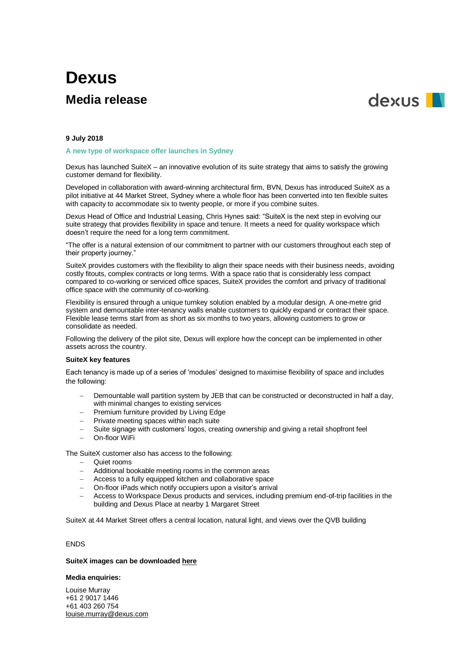# **Dexus Media release**



## **9 July 2018**

**A new type of workspace offer launches in Sydney**

Dexus has launched SuiteX – an innovative evolution of its suite strategy that aims to satisfy the growing customer demand for flexibility.

Developed in collaboration with award-winning architectural firm, BVN, Dexus has introduced SuiteX as a pilot initiative at 44 Market Street, Sydney where a whole floor has been converted into ten flexible suites with capacity to accommodate six to twenty people, or more if you combine suites.

Dexus Head of Office and Industrial Leasing, Chris Hynes said: "SuiteX is the next step in evolving our suite strategy that provides flexibility in space and tenure. It meets a need for quality workspace which doesn't require the need for a long term commitment.

"The offer is a natural extension of our commitment to partner with our customers throughout each step of their property journey."

SuiteX provides customers with the flexibility to align their space needs with their business needs, avoiding costly fitouts, complex contracts or long terms. With a space ratio that is considerably less compact compared to co-working or serviced office spaces, SuiteX provides the comfort and privacy of traditional office space with the community of co-working.

Flexibility is ensured through a unique turnkey solution enabled by a modular design. A one-metre grid system and demountable inter-tenancy walls enable customers to quickly expand or contract their space. Flexible lease terms start from as short as six months to two years, allowing customers to grow or consolidate as needed.

Following the delivery of the pilot site, Dexus will explore how the concept can be implemented in other assets across the country.

## **SuiteX key features**

Each tenancy is made up of a series of 'modules' designed to maximise flexibility of space and includes the following:

- Demountable wall partition system by JEB that can be constructed or deconstructed in half a day, with minimal changes to existing services
- Premium furniture provided by Living Edge
- Private meeting spaces within each suite
- Suite signage with customers' logos, creating ownership and giving a retail shopfront feel
- On-floor WiFi

The SuiteX customer also has access to the following:

- Quiet rooms
- Additional bookable meeting rooms in the common areas
- Access to a fully equipped kitchen and collaborative space
- On-floor iPads which notify occupiers upon a visitor's arrival
- Access to Workspace Dexus products and services, including premium end-of-trip facilities in the building and Dexus Place at nearby 1 Margaret Street

SuiteX at 44 Market Street offers a central location, natural light, and views over the QVB building

# ENDS

#### **SuiteX images can be downloaded [here](https://www.dropbox.com/sh/b3jsn8kwald3n97/AAD-7hFRcG5iBEm_RyCZFI9za?dl=0)**

#### **Media enquiries:**

Louise Murray +61 2 9017 1446 +61 403 260 754 [louise.murray@dexus.com](mailto:louise.murray@dexus.com)